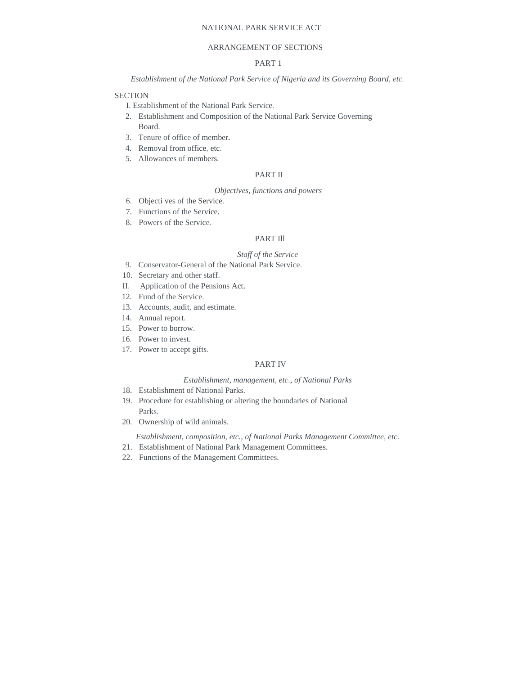# NATIONAL PARK SERVICE ACT

# ARRANGEMENT OF SECTIONS

# PART 1

*Establishment of the National Park Service of Nigeria and its Governing Board, etc.* 

## **SECTION**

- I. Establishment of the National Park Service.
- 2. Establishment and Composition of the National Park Service Governing Board.
- 3. Tenure of office of member.
- 4. Removal from office, etc.
- 5. Allowances of members.

# PART II

# *Objectives, functions and powers*

- 6. Objecti ves of the Service.
- 7. Functions of the Service.
- 8. Powers of the Service.

# PART Ill

# *Staff of the Service*

- 9. Conservator-General of the National Park Service.
- 10. Secretary and other staff.
- II. Application of the Pensions Act.
- 12. Fund of the Service.
- 13. Accounts, audit, and estimate.
- 14. Annual report.
- 15. Power to borrow.
- 16. Power to invest.
- 17. Power to accept gifts.

# PART IV

# *Establishment, management, etc., of National Parks*

- 18. Establishment of National Parks.
- 19. Procedure for establishing or altering the boundaries of National Parks.
- 20. Ownership of wild animals.

*Establishment, composition, etc., of National Parks Management Committee, etc.* 

- 21. Establishment of National Park Management Committees.
- 22. Functions of the Management Committees.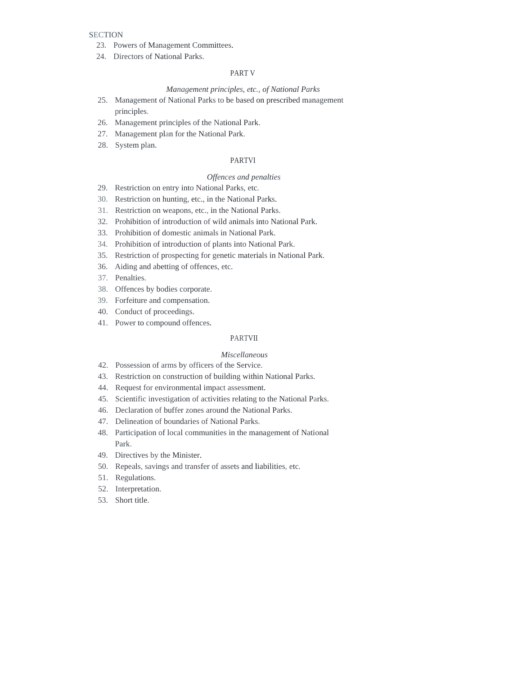# **SECTION**

- 23. Powers of Management Committees.
- 24. Directors of National Parks.

# PART V

# *Management principles, etc., of National Parks*

- 25. Management of National Parks to be based on prescribed management principles.
- 26. Management principles of the National Park.
- 27. Management plan for the National Park.
- 28. System plan.

# PARTVI

#### *Offences and penalties*

- 29. Restriction on entry into National Parks, etc.
- 30. Restriction on hunting, etc., in the National Parks.
- 31. Restriction on weapons, etc., in the National Parks.
- 32. Prohibition of introduction of wild animals into National Park.
- 33. Prohibition of domestic animals in National Park.
- 34. Prohibition of introduction of plants into National Park.
- 35. Restriction of prospecting for genetic materials in National Park.
- 36. Aiding and abetting of offences, etc.
- 37. Penalties.
- 38. Offences by bodies corporate.
- 39. Forfeiture and compensation.
- 40. Conduct of proceedings.
- 41. Power to compound offences.

# PARTVII

### *Miscellaneous*

- 42. Possession of arms by officers of the Service.
- 43. Restriction on construction of building within National Parks.
- 44. Request for environmental impact assessment.
- 45. Scientific investigation of activities relating to the National Parks.
- 46. Declaration of buffer zones around the National Parks.
- 47. Delineation of boundaries of National Parks.
- 48. Participation of local communities in the management of National Park.
- 49. Directives by the Minister.
- 50. Repeals, savings and transfer of assets and liabilities, etc.
- 51. Regulations.
- 52. Interpretation.
- 53. Short title.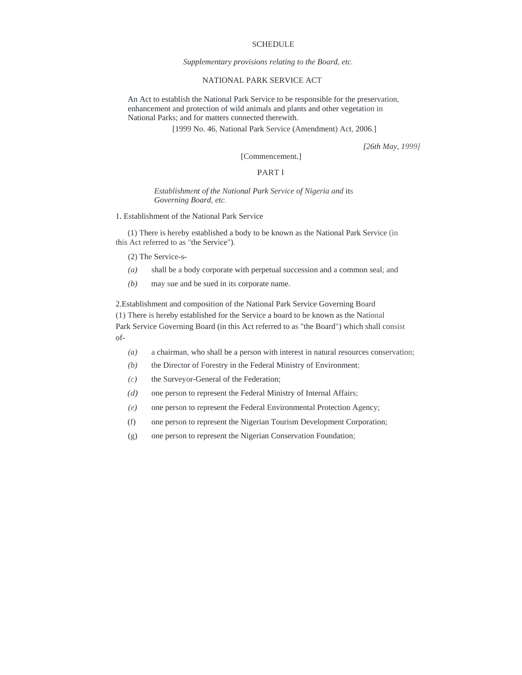### SCHEDULE

*Supplementary provisions relating to the Board, etc.* 

# NATIONAL PARK SERVICE ACT

 An Act to establish the National Park Service to be responsible for the preservation, enhancement and protection of wild animals and plants and other vegetation in National Parks; and for matters connected therewith.

[1999 No. 46, National Park Service (Amendment) Act, 2006.]

*[26th May, 1999]* 

# [Commencement.]

# PART l

## *Establishment of the National Park Service of Nigeria and* its *Governing Board, etc.*

1. Establishment of the National Park Service

(1) There is hereby established a body to be known as the National Park Service (in this Act referred to as "the Service").

(2) The Service-s-

- *(a)* shall be a body corporate with perpetual succession and a common seal; and
- *(b)* may sue and be sued in its corporate name.

2.Establishment and composition of the National Park Service Governing Board (1) There is hereby established for the Service a board to be known as the National Park Service Governing Board (in this Act referred to as "the Board") which shall consist of-

- *(a)* a chairman, who shall be a person with interest in natural resources conservation;
- *(b)* the Director of Forestry in the Federal Ministry of Environment;
- *(c)* the Surveyor-General of the Federation;
- *(d)* one person to represent the Federal Ministry of Internal Affairs;
- *(e)* one person to represent the Federal Environmental Protection Agency;
- (f) one person to represent the Nigerian Tourism Development Corporation;
- (g) one person to represent the Nigerian Conservation Foundation;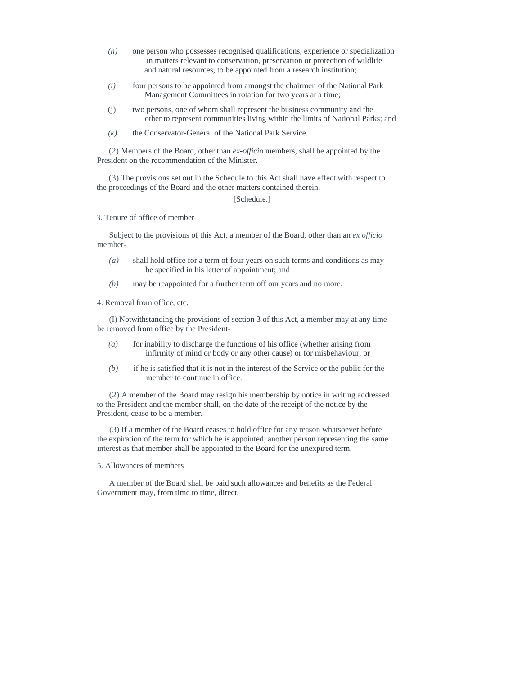- *(h)* one person who possesses recognised qualifications, experience or specialization in matters relevant to conservation, preservation or protection of wildlife and natural resources, to be appointed from a research institution;
- *(i)* four persons to be appointed from amongst the chairmen of the National Park Management Committees in rotation for two years at a time;
- (j) two persons, one of whom shall represent the business community and the other to represent communities living within the limits of National Parks; and
- *(k)* the Conservator-General of the National Park Service.

(2) Members of the Board, other than *ex-officio* members, shall be appointed by the President on the recommendation of the Minister.

(3) The provisions set out in the Schedule to this Act shall have effect with respect to the proceedings of the Board and the other matters contained therein.

[Schedule.]

3. Tenure of office of member

Subject to the provisions of this Act, a member of the Board, other than an *ex officio*  member-

- *(a)* shall hold office for a term of four years on such terms and conditions as may be specified in his letter of appointment; and
- *(b)* may be reappointed for a further term off our years and no more.

4. Removal from office, etc.

(I) Notwithstanding the provisions of section 3 of this Act, a member may at any time be removed from office by the President-

- *(a)* for inability to discharge the functions of his office (whether arising from infirmity of mind or body or any other cause) or for misbehaviour; or
- *(b)* if he is satisfied that it is not in the interest of the Service or the public for the member to continue in office.

(2) A member of the Board may resign his membership by notice in writing addressed to the President and the member shall, on the date of the receipt of the notice by the President, cease to be a member.

(3) If a member of the Board ceases to hold office for any reason whatsoever before the expiration of the term for which he is appointed, another person representing the same interest as that member shall be appointed to the Board for the unexpired term.

5. Allowances of members

A member of the Board shall be paid such allowances and benefits as the Federal Government may, from time to time, direct.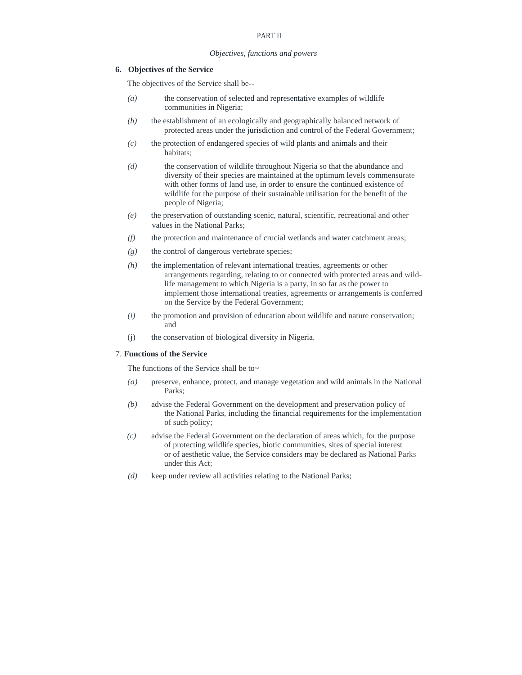# PART II

#### *Objectives, functions and powers*

# **6. Objectives of the Service**

The objectives of the Service shall be--

- *(a)* the conservation of selected and representative examples of wildlife communities in Nigeria;
- *(b)* the establishment of an ecologically and geographically balanced network of protected areas under the jurisdiction and control of the Federal Government;
- *(c)* the protection of endangered species of wild plants and animals and their habitats;
- *(d)* the conservation of wildlife throughout Nigeria so that the abundance and diversity of their species are maintained at the optimum levels commensurate with other forms of land use, in order to ensure the continued existence of wildlife for the purpose of their sustainable utilisation for the benefit of the people of Nigeria;
- *(e)* the preservation of outstanding scenic, natural, scientific, recreational and other values in the National Parks;
- *(f)* the protection and maintenance of crucial wetlands and water catchment areas;
- *(g)* the control of dangerous vertebrate species;
- *(h)* the implementation of relevant international treaties, agreements or other arrangements regarding, relating to or connected with protected areas and wildlife management to which Nigeria is a party, in so far as the power to implement those international treaties, agreements or arrangements is conferred on the Service by the Federal Government;
- *(i)* the promotion and provision of education about wildlife and nature conservation; and
- (j) the conservation of biological diversity in Nigeria.

#### 7. **Functions of the Service**

The functions of the Service shall be to~

- *(a)* preserve, enhance, protect, and manage vegetation and wild animals in the National Parks;
- *(b)* advise the Federal Government on the development and preservation policy of the National Parks, including the financial requirements for the implementation of such policy;
- *(c)* advise the Federal Government on the declaration of areas which, for the purpose of protecting wildlife species, biotic communities, sites of special interest or of aesthetic value, the Service considers may be declared as National Parks under this Act;
- *(d)* keep under review all activities relating to the National Parks;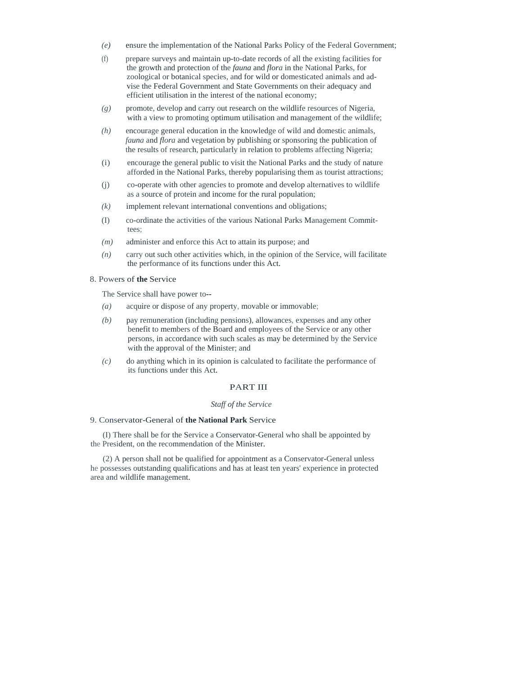- *(e)* ensure the implementation of the National Parks Policy of the Federal Government;
- (f) prepare surveys and maintain up-to-date records of all the existing facilities for the growth and protection of the *fauna* and *flora* in the National Parks, for zoological or botanical species, and for wild or domesticated animals and advise the Federal Government and State Governments on their adequacy and efficient utilisation in the interest of the national economy;
- *(g)* promote, develop and carry out research on the wildlife resources of Nigeria, with a view to promoting optimum utilisation and management of the wildlife;
- *(h)* encourage general education in the knowledge of wild and domestic animals, *fauna* and *flora* and vegetation by publishing or sponsoring the publication of the results of research, particularly in relation to problems affecting Nigeria;
- (i) encourage the general public to visit the National Parks and the study of nature afforded in the National Parks, thereby popularising them as tourist attractions;
- (j) co-operate with other agencies to promote and develop alternatives to wildlife as a source of protein and income for the rural population;
- *(k)* implement relevant international conventions and obligations;
- (I) co-ordinate the activities of the various National Parks Management Committees;
- *(m)* administer and enforce this Act to attain its purpose; and
- *(n)* carry out such other activities which, in the opinion of the Service, will facilitate the performance of its functions under this Act.

# 8. Powers of **the** Service

The Service shall have power to--

- *(a)* acquire or dispose of any property, movable or immovable;
- *(b)* pay remuneration (including pensions), allowances, expenses and any other benefit to members of the Board and employees of the Service or any other persons, in accordance with such scales as may be determined by the Service with the approval of the Minister; and
- *(c)* do anything which in its opinion is calculated to facilitate the performance of its functions under this Act.

## PART III

### *Staff of the Service*

# 9. Conservator-General of **the National Park** Service

(I) There shall be for the Service a Conservator-General who shall be appointed by the President, on the recommendation of the Minister.

(2) A person shall not be qualified for appointment as a Conservator-General unless he possesses outstanding qualifications and has at least ten years' experience in protected area and wildlife management.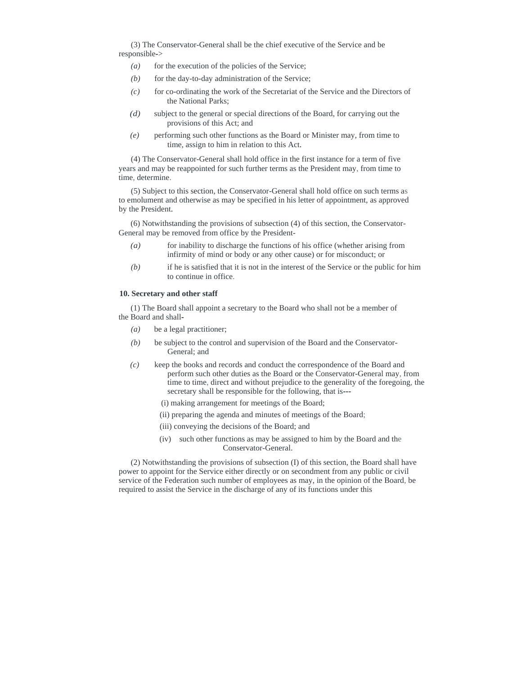(3) The Conservator-General shall be the chief executive of the Service and be responsible->

- (a) for the execution of the policies of the Service;
- $(b)$  for the day-to-day administration of the Service;
- *(c)* for co-ordinating the work of the Secretariat of the Service and the Directors of the National Parks;
- *(d)* subject to the general or special directions of the Board, for carrying out the provisions of this Act; and
- *(e)* performing such other functions as the Board or Minister may, from time to time, assign to him in relation to this Act.

(4) The Conservator-General shall hold office in the first instance for a term of five years and may be reappointed for such further terms as the President may, from time to time, determine.

(5) Subject to this section, the Conservator-General shall hold office on such terms as to emolument and otherwise as may be specified in his letter of appointment, as approved by the President.

(6) Notwithstanding the provisions of subsection (4) of this section, the Conservator-General may be removed from office by the President-

- *(a)* for inability to discharge the functions of his office (whether arising from infirmity of mind or body or any other cause) or for misconduct; or
- *(b)* if he is satisfied that it is not in the interest of the Service or the public for him to continue in office.

### **10. Secretary and other staff**

(1) The Board shall appoint a secretary to the Board who shall not be a member of the Board and shall-

- *(a)* be a legal practitioner;
- *(b)* be subject to the control and supervision of the Board and the Conservator-General; and
- *(c)* keep the books and records and conduct the correspondence of the Board and perform such other duties as the Board or the Conservator-General may, from time to time, direct and without prejudice to the generality of the foregoing, the secretary shall be responsible for the following, that is---
	- (i) making arrangement for meetings of the Board;
	- (ii) preparing the agenda and minutes of meetings of the Board;
	- (iii) conveying the decisions of the Board; and
	- (iv) such other functions as may be assigned to him by the Board and the Conservator-General.

(2) Notwithstanding the provisions of subsection (I) of this section, the Board shall have power to appoint for the Service either directly or on secondment from any public or civil service of the Federation such number of employees as may, in the opinion of the Board, be required to assist the Service in the discharge of any of its functions under this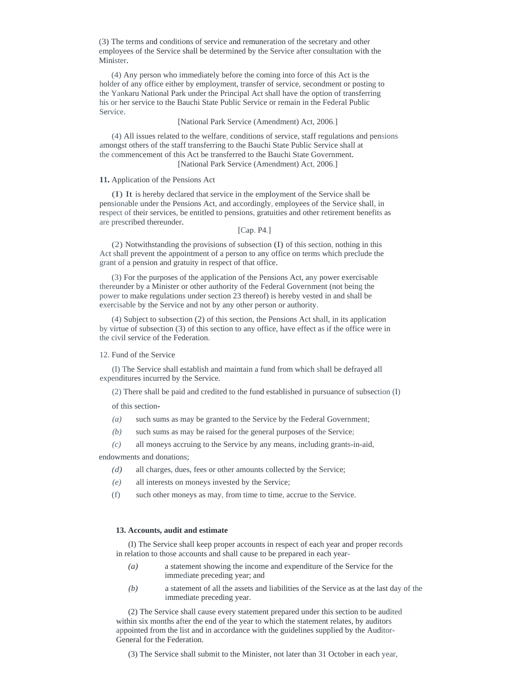(3) The terms and conditions of service and remuneration of the secretary and other employees of the Service shall be determined by the Service after consultation with the Minister.

(4) Any person who immediately before the coming into force of this Act is the holder of any office either by employment, transfer of service, secondment or posting to the Yankaru National Park under the Principal Act shall have the option of transferring his or her service to the Bauchi State Public Service or remain in the Federal Public Service.

### [National Park Service (Amendment) Act, 2006.]

(4) All issues related to the welfare, conditions of service, staff regulations and pensions amongst others of the staff transferring to the Bauchi State Public Service shall at the commencement of this Act be transferred to the Bauchi State Government. [National Park Service (Amendment) Act, 2006.]

#### **11.** Application of the Pensions Act

(I) It is hereby declared that service in the employment of the Service shall be pensionable under the Pensions Act, and accordingly, employees of the Service shall, in respect of their services, be entitled to pensions, gratuities and other retirement benefits as are prescribed thereunder.

[Cap. P4.]

(2) Notwithstanding the provisions of subsection (I) of this section, nothing in this Act shall prevent the appointment of a person to any office on terms which preclude the grant of a pension and gratuity in respect of that office.

(3) For the purposes of the application of the Pensions Act, any power exercisable thereunder by a Minister or other authority of the Federal Government (not being the power to make regulations under section 23 thereof) is hereby vested in and shall be exercisable by the Service and not by any other person or authority.

(4) Subject to subsection (2) of this section, the Pensions Act shall, in its application by virtue of subsection (3) of this section to any office, have effect as if the office were in the civil service of the Federation.

### 12. Fund of the Service

(I) The Service shall establish and maintain a fund from which shall be defrayed all expenditures incurred by the Service.

(2) There shall be paid and credited to the fund established in pursuance of subsection (I)

of this section-

- *(a)* such sums as may be granted to the Service by the Federal Government;
- *(b)* such sums as may be raised for the general purposes of the Service;
- *(c)* all moneys accruing to the Service by any means, including grants-in-aid,

endowments and donations;

- *(d)* all charges, dues, fees or other amounts collected by the Service;
- *(e)* all interests on moneys invested by the Service;
- (f) such other moneys as may, from time to time, accrue to the Service.

#### **13. Accounts, audit and estimate**

(I) The Service shall keep proper accounts in respect of each year and proper records in relation to those accounts and shall cause to be prepared in each year-

- *(a)* a statement showing the income and expenditure of the Service for the immediate preceding year; and
- *(b)* a statement of all the assets and liabilities of the Service as at the last day of the immediate preceding year.

(2) The Service shall cause every statement prepared under this section to be audited within six months after the end of the year to which the statement relates, by auditors appointed from the list and in accordance with the guidelines supplied by the Auditor-General for the Federation.

(3) The Service shall submit to the Minister, not later than 31 October in each year,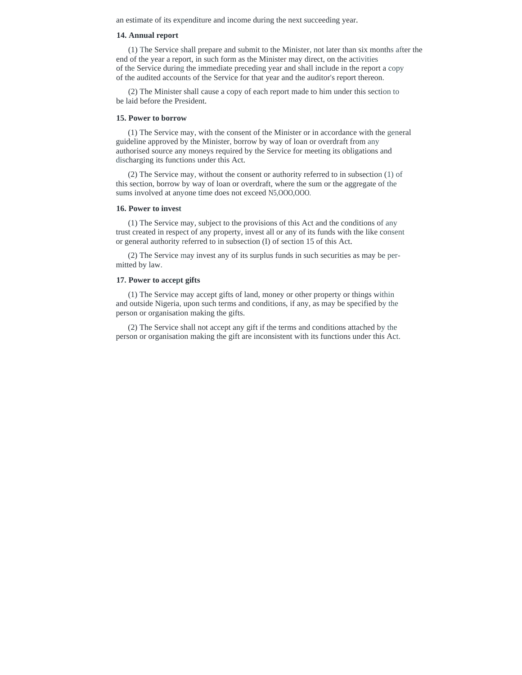an estimate of its expenditure and income during the next succeeding year.

#### **14. Annual report**

(1) The Service shall prepare and submit to the Minister, not later than six months after the end of the year a report, in such form as the Minister may direct, on the activities of the Service during the immediate preceding year and shall include in the report a copy of the audited accounts of the Service for that year and the auditor's report thereon.

(2) The Minister shall cause a copy of each report made to him under this section to be laid before the President.

# **15. Power to borrow**

(1) The Service may, with the consent of the Minister or in accordance with the general guideline approved by the Minister, borrow by way of loan or overdraft from any authorised source any moneys required by the Service for meeting its obligations and discharging its functions under this Act.

(2) The Service may, without the consent or authority referred to in subsection (1) of this section, borrow by way of loan or overdraft, where the sum or the aggregate of the sums involved at anyone time does not exceed N5,OOO,OOO.

#### **16. Power to invest**

(1) The Service may, subject to the provisions of this Act and the conditions of any trust created in respect of any property, invest all or any of its funds with the like consent or general authority referred to in subsection (I) of section 15 of this Act.

(2) The Service may invest any of its surplus funds in such securities as may be permitted by law.

### **17. Power to accept gifts**

(1) The Service may accept gifts of land, money or other property or things within and outside Nigeria, upon such terms and conditions, if any, as may be specified by the person or organisation making the gifts.

(2) The Service shall not accept any gift if the terms and conditions attached by the person or organisation making the gift are inconsistent with its functions under this Act.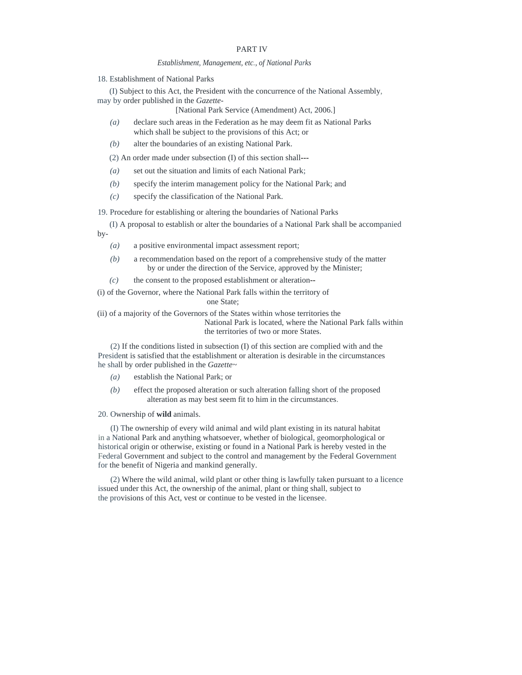# PART IV

#### *Establishment, Management, etc., of National Parks*

18. Establishment of National Parks

(I) Subject to this Act, the President with the concurrence of the National Assembly, may by order published in the *Gazette-*

[National Park Service (Amendment) Act, 2006.]

- *(a)* declare such areas in the Federation as he may deem fit as National Parks which shall be subject to the provisions of this Act; or
- *(b)* alter the boundaries of an existing National Park.

(2) An order made under subsection (I) of this section shall---

- *(a)* set out the situation and limits of each National Park;
- *(b)* specify the interim management policy for the National Park; and
- *(c)* specify the classification of the National Park.

19. Procedure for establishing or altering the boundaries of National Parks

(I) A proposal to establish or alter the boundaries of a National Park shall be accompanied by-

- *(a)* a positive environmental impact assessment report;
- *(b)* a recommendation based on the report of a comprehensive study of the matter by or under the direction of the Service, approved by the Minister;
- *(c)* the consent to the proposed establishment or alteration--

(i) of the Governor, where the National Park falls within the territory of one State;

(ii) of a majority of the Governors of the States within whose territories the National Park is located, where the National Park falls within the territories of two or more States.

(2) If the conditions listed in subsection (I) of this section are complied with and the President is satisfied that the establishment or alteration is desirable in the circumstances he shall by order published in the *Gazette~* 

- *(a)* establish the National Park; or
- *(b)* effect the proposed alteration or such alteration falling short of the proposed alteration as may best seem fit to him in the circumstances.

### 20. Ownership of **wild** animals.

(I) The ownership of every wild animal and wild plant existing in its natural habitat in a National Park and anything whatsoever, whether of biological, geomorphological or historical origin or otherwise, existing or found in a National Park is hereby vested in the Federal Government and subject to the control and management by the Federal Government for the benefit of Nigeria and mankind generally.

(2) Where the wild animal, wild plant or other thing is lawfully taken pursuant to a licence issued under this Act, the ownership of the animal, plant or thing shall, subject to the provisions of this Act, vest or continue to be vested in the licensee.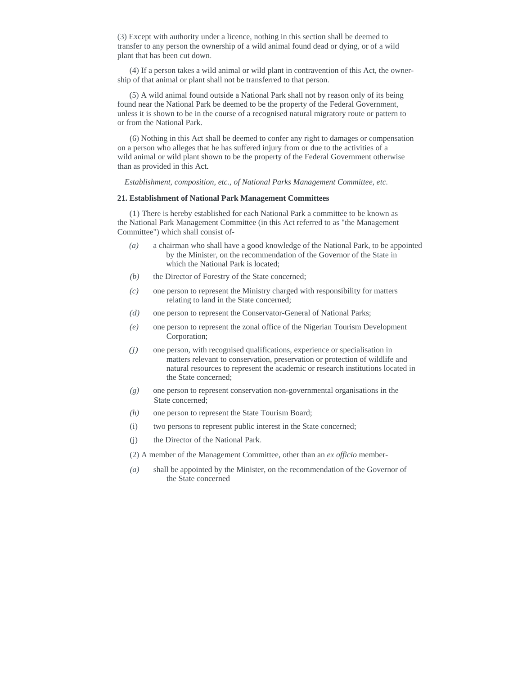(3) Except with authority under a licence, nothing in this section shall be deemed to transfer to any person the ownership of a wild animal found dead or dying, or of a wild plant that has been cut down.

(4) If a person takes a wild animal or wild plant in contravention of this Act, the ownership of that animal or plant shall not be transferred to that person.

(5) A wild animal found outside a National Park shall not by reason only of its being found near the National Park be deemed to be the property of the Federal Government, unless it is shown to be in the course of a recognised natural migratory route or pattern to or from the National Park.

(6) Nothing in this Act shall be deemed to confer any right to damages or compensation on a person who alleges that he has suffered injury from or due to the activities of a wild animal or wild plant shown to be the property of the Federal Government otherwise than as provided in this Act.

*Establishment, composition, etc., of National Parks Management Committee, etc.* 

## **21. Establishment of National Park Management Committees**

(1) There is hereby established for each National Park a committee to be known as the National Park Management Committee (in this Act referred to as "the Management Committee") which shall consist of-

- *(a)* a chairman who shall have a good knowledge of the National Park, to be appointed by the Minister, on the recommendation of the Governor of the State in which the National Park is located;
- *(b)* the Director of Forestry of the State concerned;
- *(c)* one person to represent the Ministry charged with responsibility for matters relating to land in the State concerned;
- *(d)* one person to represent the Conservator-General of National Parks;
- *(e)* one person to represent the zonal office of the Nigerian Tourism Development Corporation;
- *(j)* one person, with recognised qualifications, experience or specialisation in matters relevant to conservation, preservation or protection of wildlife and natural resources to represent the academic or research institutions located in the State concerned;
- *(g)* one person to represent conservation non-governmental organisations in the State concerned;
- *(h)* one person to represent the State Tourism Board;
- (i) two persons to represent public interest in the State concerned;
- (j) the Director of the National Park.
- (2) A member of the Management Committee, other than an *ex officio* member-
- *(a)* shall be appointed by the Minister, on the recommendation of the Governor of the State concerned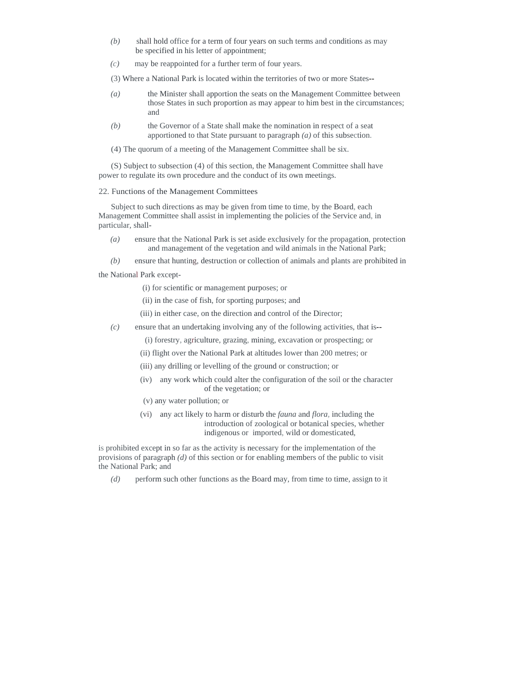- *(b)* shall hold office for a term of four years on such terms and conditions as may be specified in his letter of appointment;
- *(c)* may be reappointed for a further term of four years.

(3) Where a National Park is located within the territories of two or more States--

- *(a)* the Minister shall apportion the seats on the Management Committee between those States in such proportion as may appear to him best in the circumstances; and
- *(b)* the Governor of a State shall make the nomination in respect of a seat apportioned to that State pursuant to paragraph *(a)* of this subsection.
- (4) The quorum of a meeting of the Management Committee shall be six.

(S) Subject to subsection (4) of this section, the Management Committee shall have power to regulate its own procedure and the conduct of its own meetings.

## 22. Functions of the Management Committees

Subject to such directions as may be given from time to time, by the Board, each Management Committee shall assist in implementing the policies of the Service and, in particular, shall-

*(a)* ensure that the National Park is set aside exclusively for the propagation, protection and management of the vegetation and wild animals in the National Park;

*(b)* ensure that hunting, destruction or collection of animals and plants are prohibited in

the National Park except-

- (i) for scientific or management purposes; or
- (ii) in the case of fish, for sporting purposes; and
- (iii) in either case, on the direction and control of the Director;
- *(c)* ensure that an undertaking involving any of the following activities, that is--
	- (i) forestry, agriculture, grazing, mining, excavation or prospecting; or
	- (ii) flight over the National Park at altitudes lower than 200 metres; or
	- (iii) any drilling or levelling of the ground or construction; or
	- (iv) any work which could alter the configuration of the soil or the character of the vegetation; or
	- (v) any water pollution; or
	- (vi) any act likely to harm or disturb the *fauna* and *flora,* including the introduction of zoological or botanical species, whether indigenous or imported, wild or domesticated,

is prohibited except in so far as the activity is necessary for the implementation of the provisions of paragraph *(d)* of this section or for enabling members of the public to visit the National Park; and

*(d)* perform such other functions as the Board may, from time to time, assign to it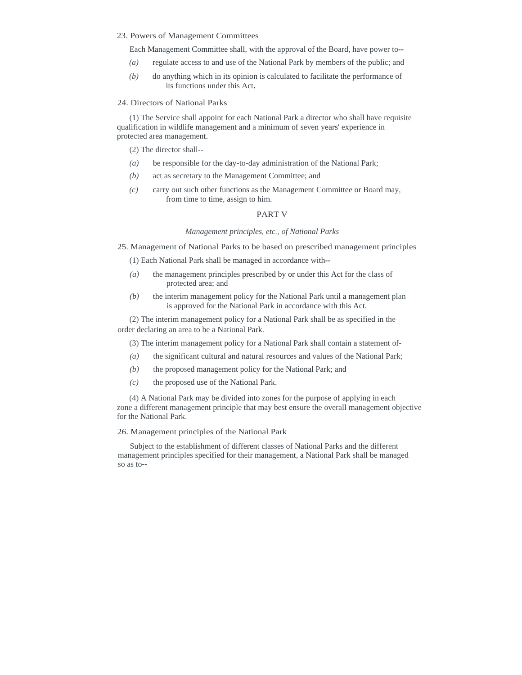#### 23. Powers of Management Committees

Each Management Committee shall, with the approval of the Board, have power to--

- *(a)* regulate access to and use of the National Park by members of the public; and
- *(b)* do anything which in its opinion is calculated to facilitate the performance of its functions under this Act.

## 24. Directors of National Parks

(1) The Service shall appoint for each National Park a director who shall have requisite qualification in wildlife management and a minimum of seven years' experience in protected area management.

(2) The director shall--

- *(a)* be responsible for the day-to-day administration of the National Park;
- *(b)* act as secretary to the Management Committee; and
- *(c)* carry out such other functions as the Management Committee or Board may, from time to time, assign to him.

# PART V

### *Management principles, etc., of National Parks*

25. Management of National Parks to be based on prescribed management principles

(1) Each National Park shall be managed in accordance with--

- *(a)* the management principles prescribed by or under this Act for the class of protected area; and
- *(b)* the interim management policy for the National Park until a management plan is approved for the National Park in accordance with this Act.

(2) The interim management policy for a National Park shall be as specified in the order declaring an area to be a National Park.

(3) The interim management policy for a National Park shall contain a statement of-

- *(a)* the significant cultural and natural resources and values of the National Park;
- *(b)* the proposed management policy for the National Park; and
- *(c)* the proposed use of the National Park.

(4) A National Park may be divided into zones for the purpose of applying in each zone a different management principle that may best ensure the overall management objective for the National Park.

# 26. Management principles of the National Park

Subject to the establishment of different classes of National Parks and the different management principles specified for their management, a National Park shall be managed so as to--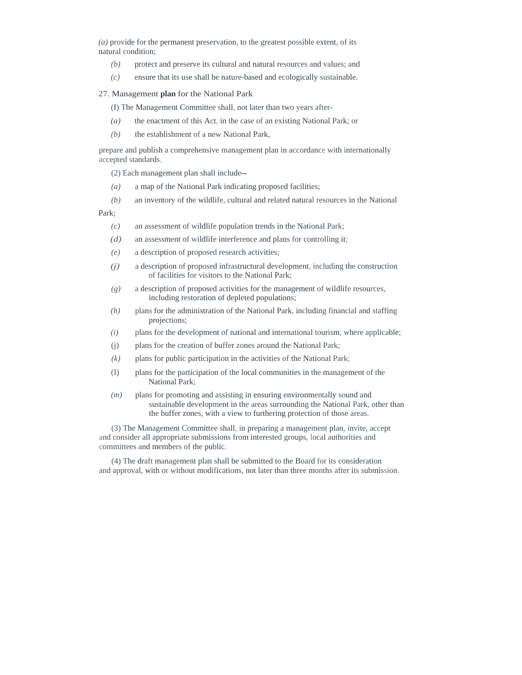*(a)* provide for the permanent preservation, to the greatest possible extent, of its natural condition;

- *(b)* protect and preserve its cultural and natural resources and values; and
- *(c)* ensure that its use shall be nature-based and ecologically sustainable.

### 27. Management **plan** for the National Park

(I) The Management Committee shall, not later than two years after-

- *(a)* the enactment of this Act, in the case of an existing National Park; or
- *(b)* the establishment of a new National Park,

prepare and publish a comprehensive management plan in accordance with internationally accepted standards.

(2) Each management plan shall include--

- *(a)* a map of the National Park indicating proposed facilities;
- *(b)* an inventory of the wildlife, cultural and related natural resources in the National

Park;

- *(c)* an assessment of wildlife population trends in the National Park;
- *(d)* an assessment of wildlife interference and plans for controlling it;
- *(e)* a description of proposed research activities;
- *(j)* a description of proposed infrastructural development, including the construction of facilities for visitors to the National Park;
- *(g)* a description of proposed activities for the management of wildlife resources, including restoration of depleted populations;
- *(h)* plans for the administration of the National Park, including financial and staffing projections;
- *(i)* plans for the development of national and international tourism, where applicable;
- (j) plans for the creation of buffer zones around the National Park;
- $(k)$  plans for public participation in the activities of the National Park;
- (I) plans for the participation of the local communities in the management of the National Park;
- *(m)* plans for promoting and assisting in ensuring environmentally sound and sustainable development in the areas surrounding the National Park, other than the buffer zones, with a view to furthering protection of those areas.

(3) The Management Committee shall, in preparing a management plan, invite, accept and consider all appropriate submissions from interested groups, local authorities and committees and members of the public.

(4) The draft management plan shall be submitted to the Board for its consideration and approval, with or without modifications, not later than three months after its submission.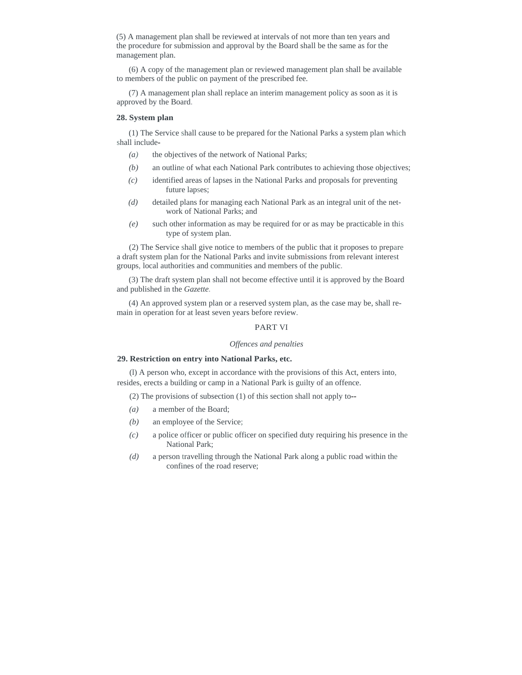(5) A management plan shall be reviewed at intervals of not more than ten years and the procedure for submission and approval by the Board shall be the same as for the management plan.

(6) A copy of the management plan or reviewed management plan shall be available to members of the public on payment of the prescribed fee.

(7) A management plan shall replace an interim management policy as soon as it is approved by the Board.

# **28. System plan**

(1) The Service shall cause to be prepared for the National Parks a system plan which shall include-

- *(a)* the objectives of the network of National Parks;
- *(b)* an outline of what each National Park contributes to achieving those objectives;
- *(c)* identified areas of lapses in the National Parks and proposals for preventing future lapses;
- *(d)* detailed plans for managing each National Park as an integral unit of the network of National Parks; and
- *(e)* such other information as may be required for or as may be practicable in this type of system plan.

(2) The Service shall give notice to members of the public that it proposes to prepare a draft system plan for the National Parks and invite submissions from relevant interest groups, local authorities and communities and members of the public.

(3) The draft system plan shall not become effective until it is approved by the Board and published in the *Gazette.* 

(4) An approved system plan or a reserved system plan, as the case may be, shall remain in operation for at least seven years before review.

# PART VI

# *Offences and penalties*

### **29. Restriction on entry into National Parks, etc.**

(l) A person who, except in accordance with the provisions of this Act, enters into, resides, erects a building or camp in a National Park is guilty of an offence.

(2) The provisions of subsection (1) of this section shall not apply to--

- *(a)* a member of the Board;
- *(b)* an employee of the Service;
- *(c)* a police officer or public officer on specified duty requiring his presence in the National Park;
- *(d)* a person travelling through the National Park along a public road within the confines of the road reserve;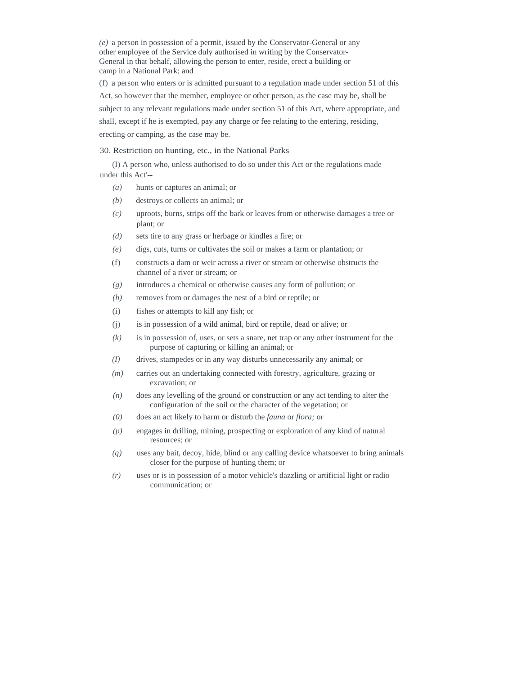*(e)* a person in possession of a permit, issued by the Conservator-General or any other employee of the Service duly authorised in writing by the Conservator-General in that behalf, allowing the person to enter, reside, erect a building or camp in a National Park; and

(f) a person who enters or is admitted pursuant to a regulation made under section 51 of this Act, so however that the member, employee or other person, as the case may be, shall be subject to any relevant regulations made under section 51 of this Act, where appropriate, and shall, except if he is exempted, pay any charge or fee relating to the entering, residing, erecting or camping, as the case may be.

### 30. Restriction on hunting, etc., in the National Parks

(I) A person who, unless authorised to do so under this Act or the regulations made under this Act'--

- *(a)* hunts or captures an animal; or
- *(b)* destroys or collects an animal; or
- *(c)* uproots, burns, strips off the bark or leaves from or otherwise damages a tree or plant; or
- *(d)* sets tire to any grass or herbage or kindles a fire; or
- *(e)* digs, cuts, turns or cultivates the soil or makes a farm or plantation; or
- (f) constructs a dam or weir across a river or stream or otherwise obstructs the channel of a river or stream; or
- *(g)* introduces a chemical or otherwise causes any form of pollution; or
- *(h)* removes from or damages the nest of a bird or reptile; or
- (i) fishes or attempts to kill any fish; or
- (j) is in possession of a wild animal, bird or reptile, dead or alive; or
- *(k)* is in possession of, uses, or sets a snare, net trap or any other instrument for the purpose of capturing or killing an animal; or
- *(I)* drives, stampedes or in any way disturbs unnecessarily any animal; or
- *(m)* carries out an undertaking connected with forestry, agriculture, grazing or excavation; or
- *(n)* does any levelling of the ground or construction or any act tending to alter the configuration of the soil or the character of the vegetation; or
- *(0)* does an act likely to harm or disturb the *fauna* or *flora;* or
- *(p)* engages in drilling, mining, prospecting or exploration of any kind of natural resources; or
- *(q)* uses any bait, decoy, hide, blind or any calling device whatsoever to bring animals closer for the purpose of hunting them; or
- *(r)* uses or is in possession of a motor vehicle's dazzling or artificial light or radio communication; or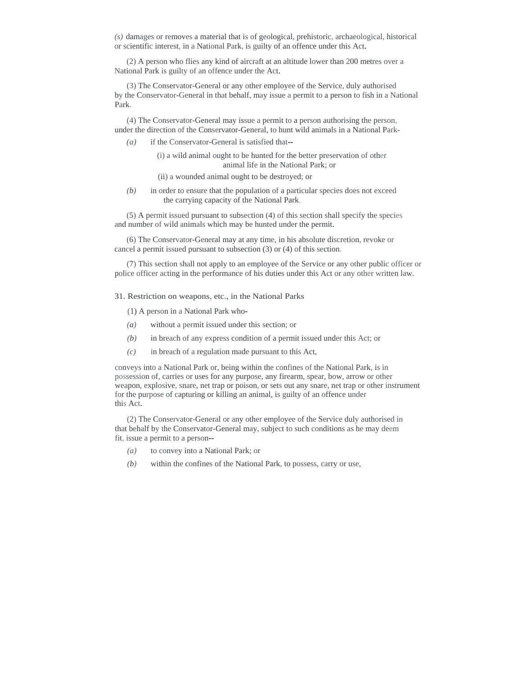*(s)* damages or removes a material that is of geological, prehistoric, archaeological, historical or scientific interest, in a National Park, is guilty of an offence under this Act.

(2) A person who flies any kind of aircraft at an altitude lower than 200 metres over a National Park is guilty of an offence under the Act.

(3) The Conservator-General or any other employee of the Service, duly authorised by the Conservator-General in that behalf, may issue a permit to a person to fish in a National Park.

(4) The Conservator-General may issue a permit to a person authorising the person, under the direction of the Conservator-General, to hunt wild animals in a National Park-

*(a)* if the Conservator-General is satisfied that--

 (i) a wild animal ought to be hunted for the better preservation of other animal life in the National Park; or

(ii) a wounded animal ought to be destroyed; or

*(b)* in order to ensure that the population of a particular species does not exceed the carrying capacity of the National Park.

(5) A permit issued pursuant to subsection (4) of this section shall specify the species and number of wild animals which may be hunted under the permit.

(6) The Conservator-General may at any time, in his absolute discretion, revoke or cancel a permit issued pursuant to subsection (3) or (4) of this section.

(7) This section shall not apply to an employee of the Service or any other public officer or police officer acting in the performance of his duties under this Act or any other written law.

31. Restriction on weapons, etc., in the National Parks

(1) A person in a National Park who-

- *(a)* without a permit issued under this section; or
- *(b)* in breach of any express condition of a permit issued under this Act; or
- *(c)* in breach of a regulation made pursuant to this Act,

conveys into a National Park or, being within the confines of the National Park, is in possession of, carries or uses for any purpose, any firearm, spear, bow, arrow or other weapon, explosive, snare, net trap or poison, or sets out any snare, net trap or other instrument for the purpose of capturing or killing an animal, is guilty of an offence under this Act.

(2) The Conservator-General or any other employee of the Service duly authorised in that behalf by the Conservator-General may, subject to such conditions as he may deem fit, issue a permit to a person--

- *(a)* to convey into a National Park; or
- *(b)* within the confines of the National Park, to possess, carry or use,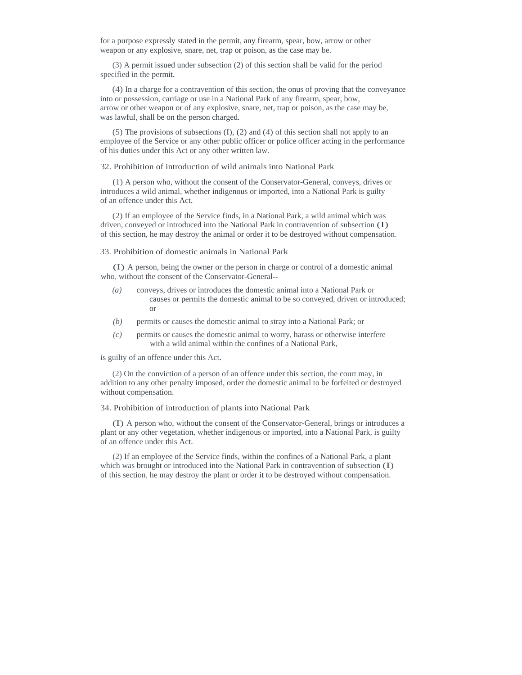for a purpose expressly stated in the permit, any firearm, spear, bow, arrow or other weapon or any explosive, snare, net, trap or poison, as the case may be.

(3) A permit issued under subsection (2) of this section shall be valid for the period specified in the permit.

(4) In a charge for a contravention of this section, the onus of proving that the conveyance into or possession, carriage or use in a National Park of any firearm, spear, bow, arrow or other weapon or of any explosive, snare, net, trap or poison, as the case may be, was lawful, shall be on the person charged.

(5) The provisions of subsections (I), (2) and (4) of this section shall not apply to an employee of the Service or any other public officer or police officer acting in the performance of his duties under this Act or any other written law.

32. Prohibition of introduction of wild animals into National Park

(1) A person who, without the consent of the Conservator-General, conveys, drives or introduces a wild animal, whether indigenous or imported, into a National Park is guilty of an offence under this Act.

(2) If an employee of the Service finds, in a National Park, a wild animal which was driven, conveyed or introduced into the National Park in contravention of subsection (I) of this section, he may destroy the animal or order it to be destroyed without compensation.

#### 33. Prohibition of domestic animals in National Park

(I) A person, being the owner or the person in charge or control of a domestic animal who, without the consent of the Conservator-General--

- *(a)* conveys, drives or introduces the domestic animal into a National Park or causes or permits the domestic animal to be so conveyed, driven or introduced; or
- *(b)* permits or causes the domestic animal to stray into a National Park; or
- *(c)* permits or causes the domestic animal to worry, harass or otherwise interfere with a wild animal within the confines of a National Park,

is guilty of an offence under this Act.

(2) On the conviction of a person of an offence under this section, the court may, in addition to any other penalty imposed, order the domestic animal to be forfeited or destroyed without compensation.

### 34. Prohibition of introduction of plants into National Park

(I) A person who, without the consent of the Conservator-General, brings or introduces a plant or any other vegetation, whether indigenous or imported, into a National Park, is guilty of an offence under this Act.

(2) If an employee of the Service finds, within the confines of a National Park, a plant which was brought or introduced into the National Park in contravention of subsection (I) of this section, he may destroy the plant or order it to be destroyed without compensation.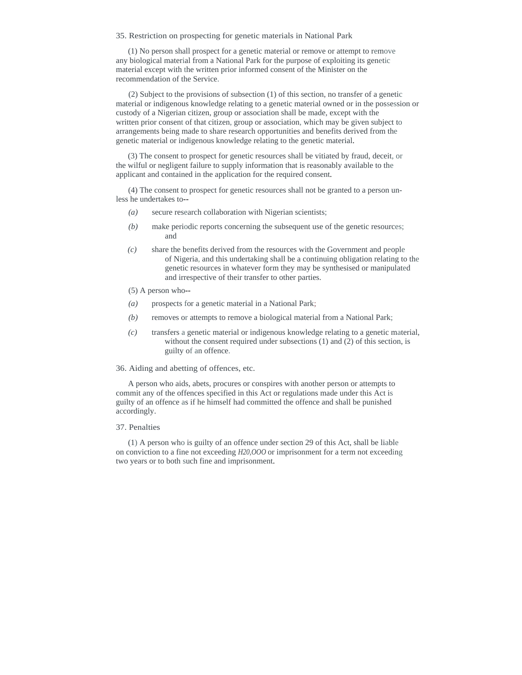35. Restriction on prospecting for genetic materials in National Park

(1) No person shall prospect for a genetic material or remove or attempt to remove any biological material from a National Park for the purpose of exploiting its genetic material except with the written prior informed consent of the Minister on the recommendation of the Service.

(2) Subject to the provisions of subsection (1) of this section, no transfer of a genetic material or indigenous knowledge relating to a genetic material owned or in the possession or custody of a Nigerian citizen, group or association shall be made, except with the written prior consent of that citizen, group or association, which may be given subject to arrangements being made to share research opportunities and benefits derived from the genetic material or indigenous knowledge relating to the genetic material.

(3) The consent to prospect for genetic resources shall be vitiated by fraud, deceit, or the wilful or negligent failure to supply information that is reasonably available to the applicant and contained in the application for the required consent.

(4) The consent to prospect for genetic resources shall not be granted to a person unless he undertakes to--

- *(a)* secure research collaboration with Nigerian scientists;
- *(b)* make periodic reports concerning the subsequent use of the genetic resources; and
- *(c)* share the benefits derived from the resources with the Government and people of Nigeria, and this undertaking shall be a continuing obligation relating to the genetic resources in whatever form they may be synthesised or manipulated and irrespective of their transfer to other parties.
- (5) A person who--
- *(a)* prospects for a genetic material in a National Park;
- *(b)* removes or attempts to remove a biological material from a National Park;
- *(c)* transfers a genetic material or indigenous knowledge relating to a genetic material, without the consent required under subsections (1) and (2) of this section, is guilty of an offence.

36. Aiding and abetting of offences, etc.

A person who aids, abets, procures or conspires with another person or attempts to commit any of the offences specified in this Act or regulations made under this Act is guilty of an offence as if he himself had committed the offence and shall be punished accordingly.

#### 37. Penalties

(1) A person who is guilty of an offence under section 29 of this Act, shall be liable on conviction to a fine not exceeding *H20,OOO* or imprisonment for a term not exceeding two years or to both such fine and imprisonment.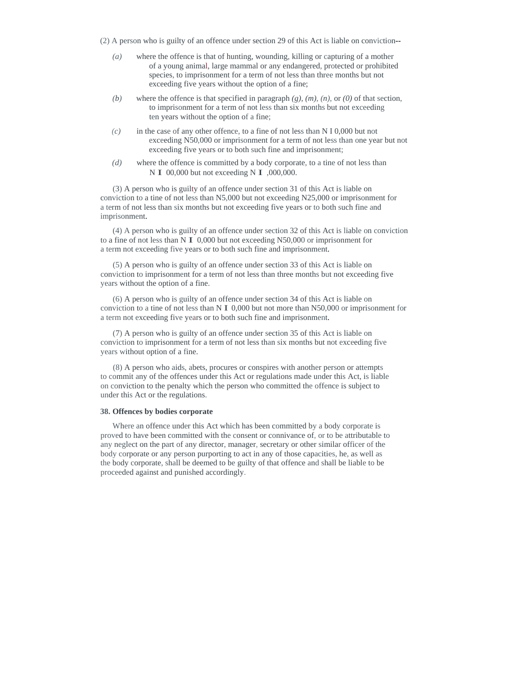- (2) A person who is guilty of an offence under section 29 of this Act is liable on conviction--
	- *(a)* where the offence is that of hunting, wounding, killing or capturing of a mother of a young animal, large mammal or any endangered, protected or prohibited species, to imprisonment for a term of not less than three months but not exceeding five years without the option of a fine;
	- *(b)* where the offence is that specified in paragraph  $(g)$ ,  $(m)$ ,  $(n)$ , or  $(0)$  of that section, to imprisonment for a term of not less than six months but not exceeding ten years without the option of a fine;
	- *(c)* in the case of any other offence, to a fine of not less than N I 0,000 but not exceeding N50,000 or imprisonment for a term of not less than one year but not exceeding five years or to both such fine and imprisonment;
	- *(d)* where the offence is committed by a body corporate, to a tine of not less than N **I** 00,000 but not exceeding N **I** ,000,000.

(3) A person who is guilty of an offence under section 31 of this Act is liable on conviction to a tine of not less than N5,000 but not exceeding N25,000 or imprisonment for a term of not less than six months but not exceeding five years or to both such fine and imprisonment.

(4) A person who is guilty of an offence under section 32 of this Act is liable on conviction to a fine of not less than N I 0,000 but not exceeding N50,000 or imprisonment for a term not exceeding five years or to both such fine and imprisonment.

(5) A person who is guilty of an offence under section 33 of this Act is liable on conviction to imprisonment for a term of not less than three months but not exceeding five years without the option of a fine.

(6) A person who is guilty of an offence under section 34 of this Act is liable on conviction to a tine of not less than N I 0,000 but not more than N50,000 or imprisonment for a term not exceeding five years or to both such fine and imprisonment.

(7) A person who is guilty of an offence under section 35 of this Act is liable on conviction to imprisonment for a term of not less than six months but not exceeding five years without option of a fine.

(8) A person who aids, abets, procures or conspires with another person or attempts to commit any of the offences under this Act or regulations made under this Act, is liable on conviction to the penalty which the person who committed the offence is subject to under this Act or the regulations.

### **38. Offences by bodies corporate**

Where an offence under this Act which has been committed by a body corporate is proved to have been committed with the consent or connivance of, or to be attributable to any neglect on the part of any director, manager, secretary or other similar officer of the body corporate or any person purporting to act in any of those capacities, he, as well as the body corporate, shall be deemed to be guilty of that offence and shall be liable to be proceeded against and punished accordingly.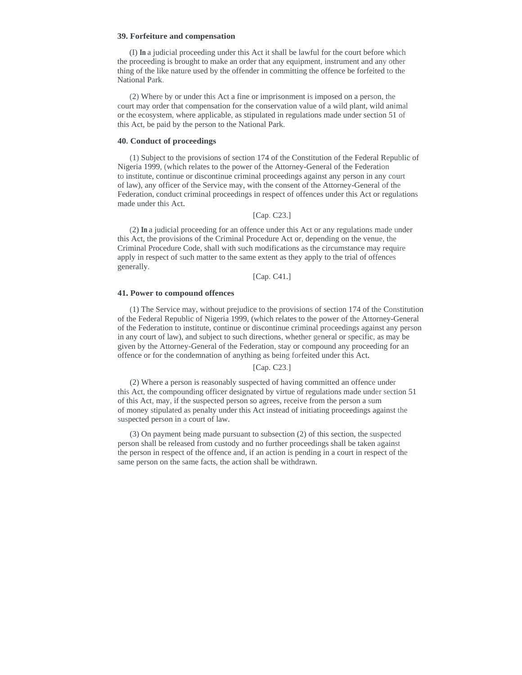### **39. Forfeiture and compensation**

(I) **In** a judicial proceeding under this Act it shall be lawful for the court before which the proceeding is brought to make an order that any equipment, instrument and any other thing of the like nature used by the offender in committing the offence be forfeited to the National Park.

(2) Where by or under this Act a fine or imprisonment is imposed on a person, the court may order that compensation for the conservation value of a wild plant, wild animal or the ecosystem, where applicable, as stipulated in regulations made under section 51 of this Act, be paid by the person to the National Park.

## **40. Conduct of proceedings**

(1) Subject to the provisions of section 174 of the Constitution of the Federal Republic of Nigeria 1999, (which relates to the power of the Attorney-General of the Federation to institute, continue or discontinue criminal proceedings against any person in any court of law), any officer of the Service may, with the consent of the Attorney-General of the Federation, conduct criminal proceedings in respect of offences under this Act or regulations made under this Act.

# [Cap. C23.]

(2) **In** a judicial proceeding for an offence under this Act or any regulations made under this Act, the provisions of the Criminal Procedure Act or, depending on the venue, the Criminal Procedure Code, shall with such modifications as the circumstance may require apply in respect of such matter to the same extent as they apply to the trial of offences generally.

# [Cap. C41.]

### **41. Power to compound offences**

(1) The Service may, without prejudice to the provisions of section 174 of the Constitution of the Federal Republic of Nigeria 1999, (which relates to the power of the Attorney-General of the Federation to institute, continue or discontinue criminal proceedings against any person in any court of law), and subject to such directions, whether general or specific, as may be given by the Attorney-General of the Federation, stay or compound any proceeding for an offence or for the condemnation of anything as being forfeited under this Act.

# [Cap. C23.]

(2) Where a person is reasonably suspected of having committed an offence under this Act, the compounding officer designated by virtue of regulations made under section 51 of this Act, may, if the suspected person so agrees, receive from the person a sum of money stipulated as penalty under this Act instead of initiating proceedings against the suspected person in a court of law.

(3) On payment being made pursuant to subsection (2) of this section, the suspected person shall be released from custody and no further proceedings shall be taken against the person in respect of the offence and, if an action is pending in a court in respect of the same person on the same facts, the action shall be withdrawn.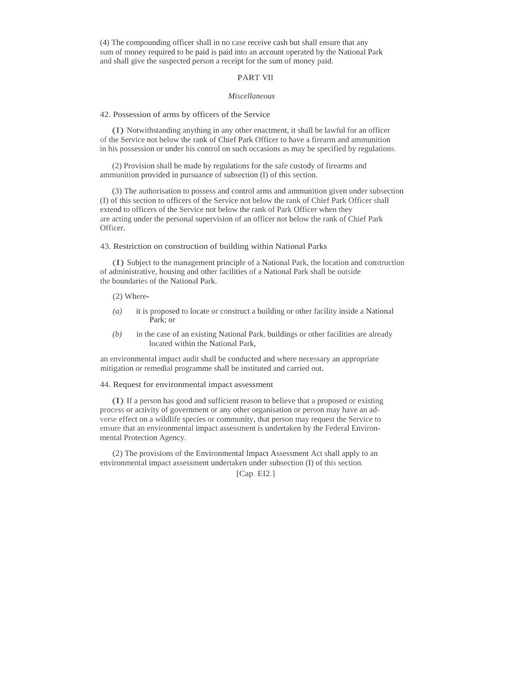(4) The compounding officer shall in no case receive cash but shall ensure that any sum of money required to be paid is paid into an account operated by the National Park and shall give the suspected person a receipt for the sum of money paid.

# PART VII

#### *Miscellaneous*

### 42. Possession of arms by officers of the Service

(I) Notwithstanding anything in any other enactment, it shall be lawful for an officer of the Service not below the rank of Chief Park Officer to have a firearm and ammunition in his possession or under his control on such occasions as may be specified by regulations.

(2) Provision shall be made by regulations for the safe custody of firearms and ammunition provided in pursuance of subsection (l) of this section.

(3) The authorisation to possess and control arms and ammunition given under subsection (I) of this section to officers of the Service not below the rank of Chief Park Officer shall extend to officers of the Service not below the rank of Park Officer when they are acting under the personal supervision of an officer not below the rank of Chief Park Officer.

#### 43. Restriction on construction of building within National Parks

(I) Subject to the management principle of a National Park, the location and construction of administrative, housing and other facilities of a National Park shall be outside the boundaries of the National Park.

## (2) Where-

- *(a)* it is proposed to locate or construct a building or other facility inside a National Park; or
- *(b)* in the case of an existing National Park, buildings or other facilities are already located within the National Park,

an environmental impact audit shall be conducted and where necessary an appropriate mitigation or remedial programme shall be instituted and carried out.

### 44. Request for environmental impact assessment

(I) If a person has good and sufficient reason to believe that a proposed or existing process or activity of government or any other organisation or person may have an adverse effect on a wildlife species or community, that person may request the Service to ensure that an environmental impact assessment is undertaken by the Federal Environmental Protection Agency.

(2) The provisions of the Environmental Impact Assessment Act shall apply to an environmental impact assessment undertaken under subsection (I) of this section.

[Cap. EI2.]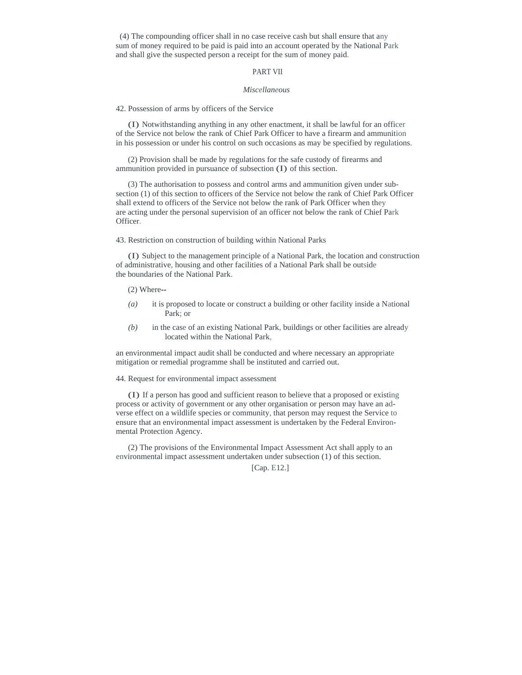(4) The compounding officer shall in no case receive cash but shall ensure that any sum of money required to be paid is paid into an account operated by the National Park and shall give the suspected person a receipt for the sum of money paid.

# PART VII

#### *Miscellaneous*

42. Possession of arms by officers of the Service

(I) Notwithstanding anything in any other enactment, it shall be lawful for an officer of the Service not below the rank of Chief Park Officer to have a firearm and ammunition in his possession or under his control on such occasions as may be specified by regulations.

(2) Provision shall be made by regulations for the safe custody of firearms and ammunition provided in pursuance of subsection (I) of this section.

(3) The authorisation to possess and control arms and ammunition given under subsection (1) of this section to officers of the Service not below the rank of Chief Park Officer shall extend to officers of the Service not below the rank of Park Officer when they are acting under the personal supervision of an officer not below the rank of Chief Park Officer.

43. Restriction on construction of building within National Parks

(I) Subject to the management principle of a National Park, the location and construction of administrative, housing and other facilities of a National Park shall be outside the boundaries of the National Park.

(2) Where--

- *(a)* it is proposed to locate or construct a building or other facility inside a National Park; or
- *(b)* in the case of an existing National Park, buildings or other facilities are already located within the National Park,

an environmental impact audit shall be conducted and where necessary an appropriate mitigation or remedial programme shall be instituted and carried out.

44. Request for environmental impact assessment

(I) If a person has good and sufficient reason to believe that a proposed or existing process or activity of government or any other organisation or person may have an adverse effect on a wildlife species or community, that person may request the Service to ensure that an environmental impact assessment is undertaken by the Federal Environmental Protection Agency.

(2) The provisions of the Environmental Impact Assessment Act shall apply to an environmental impact assessment undertaken under subsection (1) of this section.

[Cap. E12.]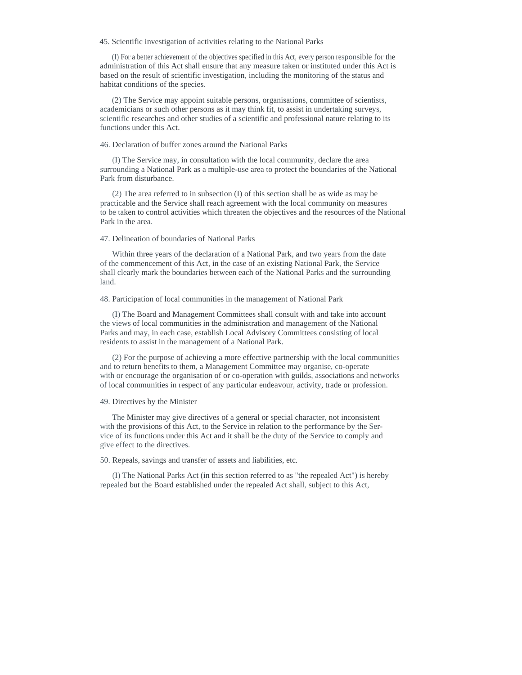45. Scientific investigation of activities relating to the National Parks

(I) For a better achievement of the objectives specified in this Act, every person responsible for the administration of this Act shall ensure that any measure taken or instituted under this Act is based on the result of scientific investigation, including the monitoring of the status and habitat conditions of the species.

(2) The Service may appoint suitable persons, organisations, committee of scientists, academicians or such other persons as it may think fit, to assist in undertaking surveys, scientific researches and other studies of a scientific and professional nature relating to its functions under this Act.

## 46. Declaration of buffer zones around the National Parks

(I) The Service may, in consultation with the local community, declare the area surrounding a National Park as a multiple-use area to protect the boundaries of the National Park from disturbance.

(2) The area referred to in subsection (I) of this section shall be as wide as may be practicable and the Service shall reach agreement with the local community on measures to be taken to control activities which threaten the objectives and the resources of the National Park in the area.

## 47. Delineation of boundaries of National Parks

Within three years of the declaration of a National Park, and two years from the date of the commencement of this Act, in the case of an existing National Park, the Service shall clearly mark the boundaries between each of the National Parks and the surrounding land.

#### 48. Participation of local communities in the management of National Park

(I) The Board and Management Committees shall consult with and take into account the views of local communities in the administration and management of the National Parks and may, in each case, establish Local Advisory Committees consisting of local residents to assist in the management of a National Park.

(2) For the purpose of achieving a more effective partnership with the local communities and to return benefits to them, a Management Committee may organise, co-operate with or encourage the organisation of or co-operation with guilds, associations and networks of local communities in respect of any particular endeavour, activity, trade or profession.

#### 49. Directives by the Minister

The Minister may give directives of a general or special character, not inconsistent with the provisions of this Act, to the Service in relation to the performance by the Service of its functions under this Act and it shall be the duty of the Service to comply and give effect to the directives.

50. Repeals, savings and transfer of assets and liabilities, etc.

(I) The National Parks Act (in this section referred to as "the repealed Act") is hereby repealed but the Board established under the repealed Act shall, subject to this Act,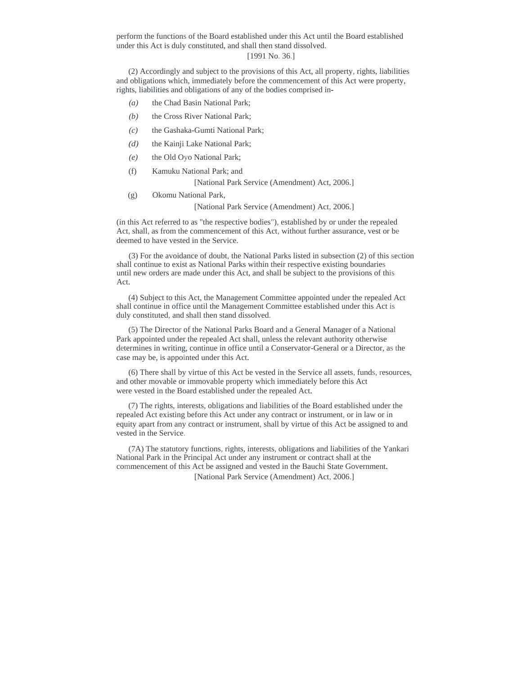perform the functions of the Board established under this Act until the Board established under this Act is duly constituted, and shall then stand dissolved.

# [1991 No. 36.]

(2) Accordingly and subject to the provisions of this Act, all property, rights, liabilities and obligations which, immediately before the commencement of this Act were property, rights, liabilities and obligations of any of the bodies comprised in-

- *(a)* the Chad Basin National Park;
- *(b)* the Cross River National Park;
- *(c)* the Gashaka-Gumti National Park;
- *(d)* the Kainji Lake National Park;
- *(e)* the Old Oyo National Park;
- (f) Kamuku National Park; and

[National Park Service (Amendment) Act, 2006.]

(g) Okomu National Park,

[National Park Service (Amendment) Act, 2006.]

(in this Act referred to as "the respective bodies"), established by or under the repealed Act, shall, as from the commencement of this Act, without further assurance, vest or be deemed to have vested in the Service.

(3) For the avoidance of doubt, the National Parks listed in subsection (2) of this section shall continue to exist as National Parks within their respective existing boundaries until new orders are made under this Act, and shall be subject to the provisions of this Act.

(4) Subject to this Act, the Management Committee appointed under the repealed Act shall continue in office until the Management Committee established under this Act is duly constituted, and shall then stand dissolved.

(5) The Director of the National Parks Board and a General Manager of a National Park appointed under the repealed Act shall, unless the relevant authority otherwise determines in writing, continue in office until a Conservator-General or a Director, as the case may be, is appointed under this Act.

(6) There shall by virtue of this Act be vested in the Service all assets, funds, resources, and other movable or immovable property which immediately before this Act were vested in the Board established under the repealed Act.

(7) The rights, interests, obligations and liabilities of the Board established under the repealed Act existing before this Act under any contract or instrument, or in law or in equity apart from any contract or instrument, shall by virtue of this Act be assigned to and vested in the Service.

(7A) The statutory functions, rights, interests, obligations and liabilities of the Yankari National Park in the Principal Act under any instrument or contract shall at the commencement of this Act be assigned and vested in the Bauchi State Government.

[National Park Service (Amendment) Act, 2006.]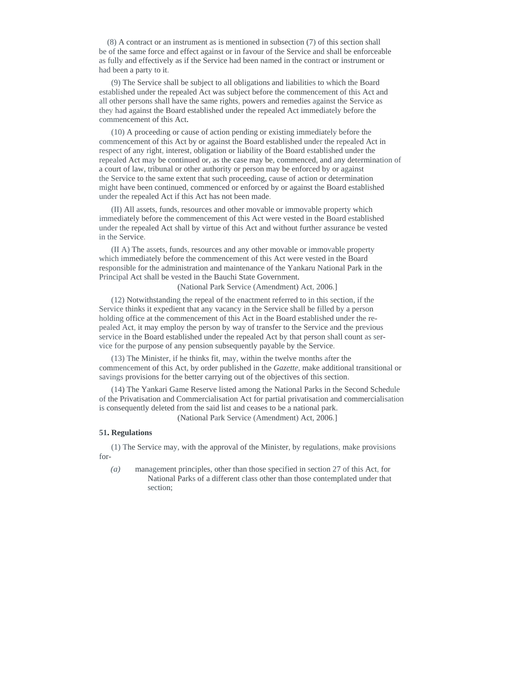(8) A contract or an instrument as is mentioned in subsection (7) of this section shall be of the same force and effect against or in favour of the Service and shall be enforceable as fully and effectively as if the Service had been named in the contract or instrument or had been a party to it.

(9) The Service shall be subject to all obligations and liabilities to which the Board established under the repealed Act was subject before the commencement of this Act and all other persons shall have the same rights, powers and remedies against the Service as they had against the Board established under the repealed Act immediately before the commencement of this Act.

(10) A proceeding or cause of action pending or existing immediately before the commencement of this Act by or against the Board established under the repealed Act in respect of any right, interest, obligation or liability of the Board established under the repealed Act may be continued or, as the case may be, commenced, and any determination of a court of law, tribunal or other authority or person may be enforced by or against the Service to the same extent that such proceeding, cause of action or determination might have been continued, commenced or enforced by or against the Board established under the repealed Act if this Act has not been made.

(II) All assets, funds, resources and other movable or immovable property which immediately before the commencement of this Act were vested in the Board established under the repealed Act shall by virtue of this Act and without further assurance be vested in the Service.

(II A) The assets, funds, resources and any other movable or immovable property which immediately before the commencement of this Act were vested in the Board responsible for the administration and maintenance of the Yankaru National Park in the Principal Act shall be vested in the Bauchi State Government.

(National Park Service (Amendment) Act, 2006.]

(12) Notwithstanding the repeal of the enactment referred to in this section, if the Service thinks it expedient that any vacancy in the Service shall be filled by a person holding office at the commencement of this Act in the Board established under the repealed Act, it may employ the person by way of transfer to the Service and the previous service in the Board established under the repealed Act by that person shall count as service for the purpose of any pension subsequently payable by the Service.

(13) The Minister, if he thinks fit, may, within the twelve months after the commencement of this Act, by order published in the *Gazette,* make additional transitional or savings provisions for the better carrying out of the objectives of this section.

(14) The Yankari Game Reserve listed among the National Parks in the Second Schedule of the Privatisation and Commercialisation Act for partial privatisation and commercialisation is consequently deleted from the said list and ceases to be a national park.

(National Park Service (Amendment) Act, 2006.]

# **51. Regulations**

(1) The Service may, with the approval of the Minister, by regulations, make provisions for-

*(a)* management principles, other than those specified in section 27 of this Act, for National Parks of a different class other than those contemplated under that section;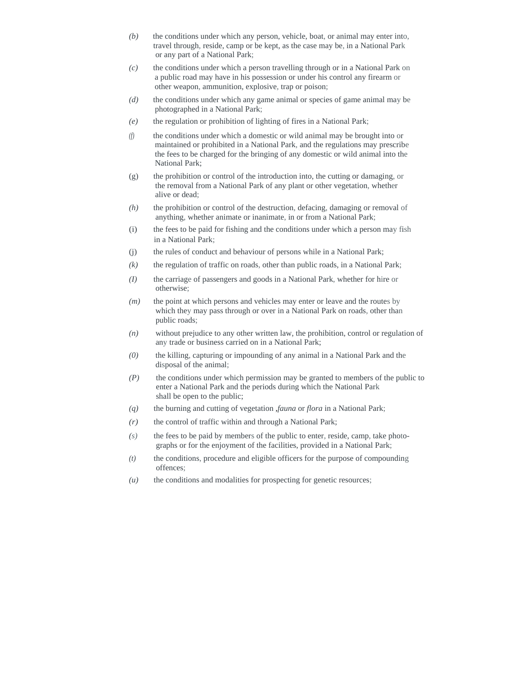- *(b)* the conditions under which any person, vehicle, boat, or animal may enter into, travel through, reside, camp or be kept, as the case may be, in a National Park or any part of a National Park;
- *(c)* the conditions under which a person travelling through or in a National Park on a public road may have in his possession or under his control any firearm or other weapon, ammunition, explosive, trap or poison;
- *(d)* the conditions under which any game animal or species of game animal may be photographed in a National Park;
- *(e)* the regulation or prohibition of lighting of fires in a National Park;
- *(f)* the conditions under which a domestic or wild animal may be brought into or maintained or prohibited in a National Park, and the regulations may prescribe the fees to be charged for the bringing of any domestic or wild animal into the National Park;
- (g) the prohibition or control of the introduction into, the cutting or damaging, or the removal from a National Park of any plant or other vegetation, whether alive or dead;
- *(h)* the prohibition or control of the destruction, defacing, damaging or removal of anything, whether animate or inanimate, in or from a National Park;
- (i) the fees to be paid for fishing and the conditions under which a person may fish in a National Park;
- (j) the rules of conduct and behaviour of persons while in a National Park;
- $(k)$  the regulation of traffic on roads, other than public roads, in a National Park;
- *(I)* the carriage of passengers and goods in a National Park, whether for hire or otherwise;
- *(m)* the point at which persons and vehicles may enter or leave and the routes by which they may pass through or over in a National Park on roads, other than public roads;
- *(n)* without prejudice to any other written law, the prohibition, control or regulation of any trade or business carried on in a National Park;
- *(0)* the killing, capturing or impounding of any animal in a National Park and the disposal of the animal;
- *(P)* the conditions under which permission may be granted to members of the public to enter a National Park and the periods during which the National Park shall be open to the public;
- *(q)* the burning and cutting of vegetation *,fauna* or *flora* in a National Park;
- *(r)* the control of traffic within and through a National Park;
- *(s)* the fees to be paid by members of the public to enter, reside, camp, take photographs or for the enjoyment of the facilities, provided in a National Park;
- *(t)* the conditions, procedure and eligible officers for the purpose of compounding offences;
- *(u)* the conditions and modalities for prospecting for genetic resources;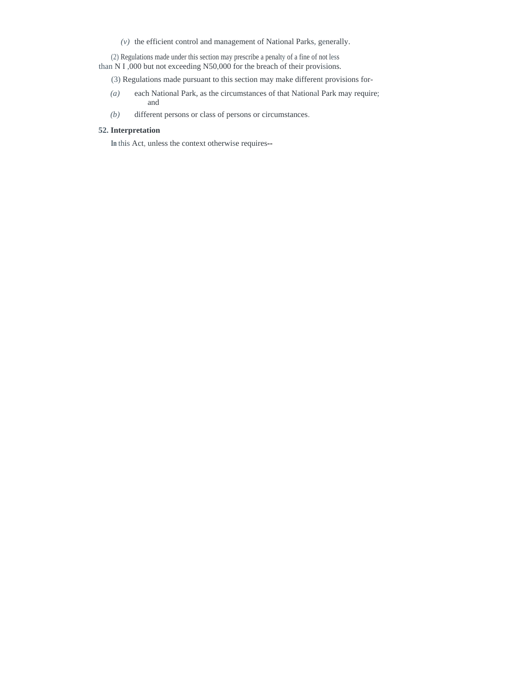$(v)$  the efficient control and management of National Parks, generally.

(2) Regulations made under this section may prescribe a penalty of a fine of not less than N I ,000 but not exceeding N50,000 for the breach of their provisions.

- (3) Regulations made pursuant to this section may make different provisions for-
- *(a)* each National Park, as the circumstances of that National Park may require; and
- *(b)* different persons or class of persons or circumstances.

# **52. Interpretation**

**In** this Act, unless the context otherwise requires--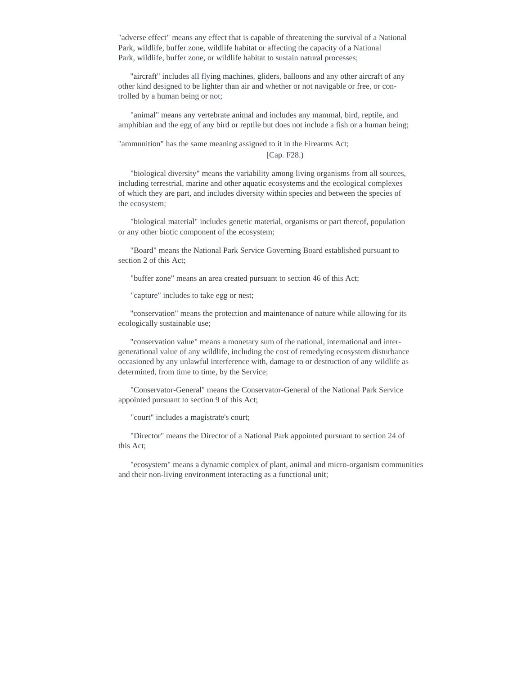"adverse effect" means any effect that is capable of threatening the survival of a National Park, wildlife, buffer zone, wildlife habitat or affecting the capacity of a National Park, wildlife, buffer zone, or wildlife habitat to sustain natural processes;

"aircraft" includes all flying machines, gliders, balloons and any other aircraft of any other kind designed to be lighter than air and whether or not navigable or free, or controlled by a human being or not;

"animal" means any vertebrate animal and includes any mammal, bird, reptile, and amphibian and the egg of any bird or reptile but does not include a fish or a human being;

"ammunition" has the same meaning assigned to it in the Firearms Act; [Cap. F28.)

"biological diversity" means the variability among living organisms from all sources, including terrestrial, marine and other aquatic ecosystems and the ecological complexes of which they are part, and includes diversity within species and between the species of the ecosystem;

"biological material" includes genetic material, organisms or part thereof, population or any other biotic component of the ecosystem;

"Board" means the National Park Service Governing Board established pursuant to section 2 of this Act;

"buffer zone" means an area created pursuant to section 46 of this Act;

"capture" includes to take egg or nest;

"conservation" means the protection and maintenance of nature while allowing for its ecologically sustainable use;

"conservation value" means a monetary sum of the national, international and intergenerational value of any wildlife, including the cost of remedying ecosystem disturbance occasioned by any unlawful interference with, damage to or destruction of any wildlife as determined, from time to time, by the Service;

"Conservator-General" means the Conservator-General of the National Park Service appointed pursuant to section 9 of this Act;

"court" includes a magistrate's court;

"Director" means the Director of a National Park appointed pursuant to section 24 of this Act;

"ecosystem" means a dynamic complex of plant, animal and micro-organism communities and their non-living environment interacting as a functional unit;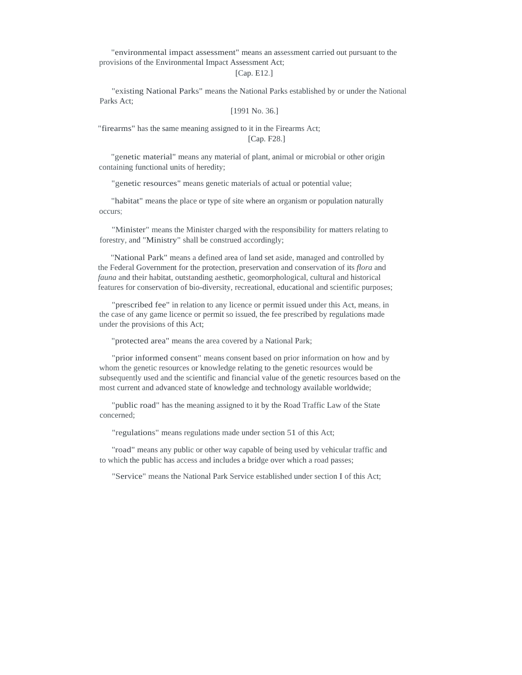"environmental impact assessment" means an assessment carried out pursuant to the provisions of the Environmental Impact Assessment Act;

[Cap. E12.]

"existing National Parks" means the National Parks established by or under the National Parks Act;

[1991 No. 36.]

"firearms" has the same meaning assigned to it in the Firearms Act;

[Cap. F28.]

"genetic material" means any material of plant, animal or microbial or other origin containing functional units of heredity;

"genetic resources" means genetic materials of actual or potential value;

"habitat" means the place or type of site where an organism or population naturally occurs;

"Minister" means the Minister charged with the responsibility for matters relating to forestry, and "Ministry" shall be construed accordingly;

"National Park" means a defined area of land set aside, managed and controlled by the Federal Government for the protection, preservation and conservation of its *flora* and *fauna* and their habitat, outstanding aesthetic, geomorphological, cultural and historical features for conservation of bio-diversity, recreational, educational and scientific purposes;

"prescribed fee" in relation to any licence or permit issued under this Act, means, in the case of any game licence or permit so issued, the fee prescribed by regulations made under the provisions of this Act;

"protected area" means the area covered by a National Park;

"prior informed consent" means consent based on prior information on how and by whom the genetic resources or knowledge relating to the genetic resources would be subsequently used and the scientific and financial value of the genetic resources based on the most current and advanced state of knowledge and technology available worldwide;

"public road" has the meaning assigned to it by the Road Traffic Law of the State concerned;

"regulations" means regulations made under section 51 of this Act;

"road" means any public or other way capable of being used by vehicular traffic and to which the public has access and includes a bridge over which a road passes;

"Service" means the National Park Service established under section I of this Act;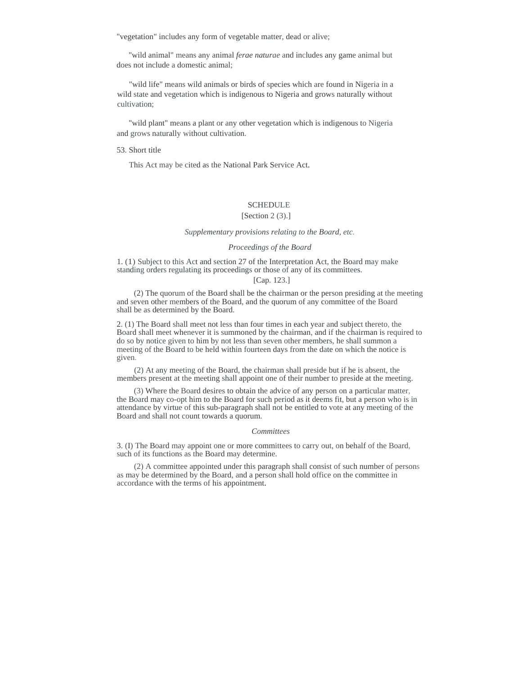"vegetation" includes any form of vegetable matter, dead or alive;

"wild animal" means any animal *ferae naturae* and includes any game animal but does not include a domestic animal;

"wild life" means wild animals or birds of species which are found in Nigeria in a wild state and vegetation which is indigenous to Nigeria and grows naturally without cultivation;

"wild plant" means a plant or any other vegetation which is indigenous to Nigeria and grows naturally without cultivation.

### 53. Short title

This Act may be cited as the National Park Service Act.

# **SCHEDULE**

# [Section 2 (3).]

### *Supplementary provisions relating to the Board, etc.*

### *Proceedings of the Board*

1. (1) Subject to this Act and section 27 of the Interpretation Act, the Board may make standing orders regulating its proceedings or those of any of its committees.

#### [Cap. 123.]

(2) The quorum of the Board shall be the chairman or the person presiding at the meeting and seven other members of the Board, and the quorum of any committee of the Board shall be as determined by the Board.

2. (1) The Board shall meet not less than four times in each year and subject thereto, the Board shall meet whenever it is summoned by the chairman, and if the chairman is required to do so by notice given to him by not less than seven other members, he shall summon a meeting of the Board to be held within fourteen days from the date on which the notice is given.

(2) At any meeting of the Board, the chairman shall preside but if he is absent, the members present at the meeting shall appoint one of their number to preside at the meeting.

(3) Where the Board desires to obtain the advice of any person on a particular matter, the Board may co-opt him to the Board for such period as it deems fit, but a person who is in attendance by virtue of this sub-paragraph shall not be entitled to vote at any meeting of the Board and shall not count towards a quorum.

#### *Committees*

3. (I) The Board may appoint one or more committees to carry out, on behalf of the Board, such of its functions as the Board may determine.

(2) A committee appointed under this paragraph shall consist of such number of persons as may be determined by the Board, and a person shall hold office on the committee in accordance with the terms of his appointment.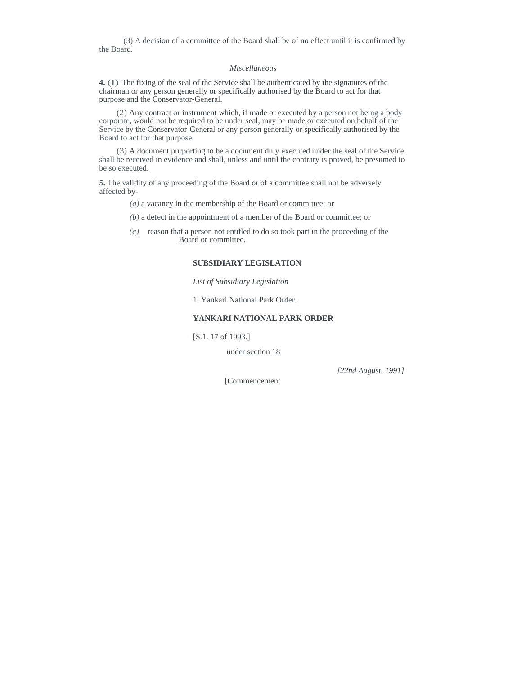(3) A decision of a committee of the Board shall be of no effect until it is confirmed by the Board.

#### *Miscellaneous*

**4.** (I) The fixing of the seal of the Service shall be authenticated by the signatures of the chairman or any person generally or specifically authorised by the Board to act for that purpose and the Conservator-General.

(2) Any contract or instrument which, if made or executed by a person not being a body corporate, would not be required to be under seal, may be made or executed on behalf of the Service by the Conservator-General or any person generally or specifically authorised by the Board to act for that purpose.

(3) A document purporting to be a document duly executed under the seal of the Service shall be received in evidence and shall, unless and until the contrary is proved, be presumed to be so executed.

**5.** The validity of any proceeding of the Board or of a committee shall not be adversely affected by-

- *(a)* a vacancy in the membership of the Board or committee; or
- *(b)* a defect in the appointment of a member of the Board or committee; or
- *(c)* reason that a person not entitled to do so took part in the proceeding of the Board or committee.

### **SUBSIDIARY LEGISLATION**

*List of Subsidiary Legislation* 

1. Yankari National Park Order.

# **YANKARI NATIONAL PARK ORDER**

[S.1. 17 of 1993.]

under section 18

*[22nd August, 1991]* 

[Commencement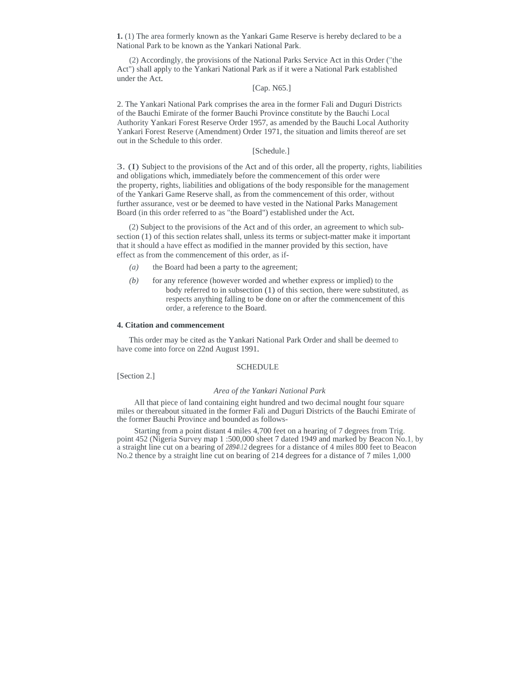**1.** (1) The area formerly known as the Yankari Game Reserve is hereby declared to be a National Park to be known as the Yankari National Park.

(2) Accordingly, the provisions of the National Parks Service Act in this Order ("the Act") shall apply to the Yankari National Park as if it were a National Park established under the Act.

## [Cap. N65.]

2. The Yankari National Park comprises the area in the former Fali and Duguri Districts of the Bauchi Emirate of the former Bauchi Province constitute by the Bauchi Local Authority Yankari Forest Reserve Order 1957, as amended by the Bauchi Local Authority Yankari Forest Reserve (Amendment) Order 1971, the situation and limits thereof are set out in the Schedule to this order.

# [Schedule.]

3. (I) Subject to the provisions of the Act and of this order, all the property, rights, liabilities and obligations which, immediately before the commencement of this order were the property, rights, liabilities and obligations of the body responsible for the management of the Yankari Game Reserve shall, as from the commencement of this order, without further assurance, vest or be deemed to have vested in the National Parks Management Board (in this order referred to as "the Board") established under the Act.

(2) Subject to the provisions of the Act and of this order, an agreement to which subsection (1) of this section relates shall, unless its terms or subject-matter make it important that it should a have effect as modified in the manner provided by this section, have effect as from the commencement of this order, as if-

- *(a)* the Board had been a party to the agreement;
- *(b)* for any reference (however worded and whether express or implied) to the body referred to in subsection (1) of this section, there were substituted, as respects anything falling to be done on or after the commencement of this order, a reference to the Board.

# **4. Citation and commencement**

This order may be cited as the Yankari National Park Order and shall be deemed to have come into force on 22nd August 1991.

### **SCHEDULE**

[Section 2.]

#### *Area of the Yankari National Park*

All that piece of land containing eight hundred and two decimal nought four square miles or thereabout situated in the former Fali and Duguri Districts of the Bauchi Emirate of the former Bauchi Province and bounded as follows-

Starting from a point distant 4 miles 4,700 feet on a hearing of 7 degrees from Trig. point 452 (Nigeria Survey map 1:500,000 sheet 7 dated 1949 and marked by Beacon No.1, by a straight line cut on a bearing of *2894\12* degrees for a distance of 4 miles 800 feet to Beacon No.2 thence by a straight line cut on bearing of 214 degrees for a distance of 7 miles 1,000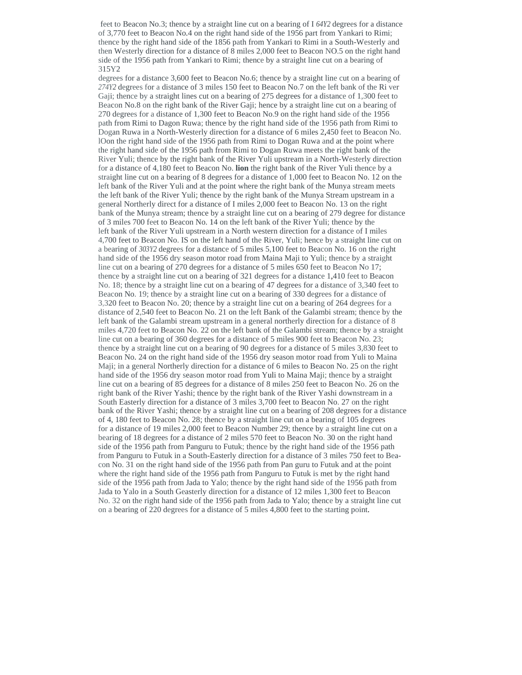feet to Beacon No.3; thence by a straight line cut on a bearing of I *64Y2* degrees for a distance of 3,770 feet to Beacon No.4 on the right hand side of the 1956 part from Yankari to Rimi; thence by the right hand side of the 1856 path from Yankari to Rimi in a South-Westerly and then Westerly direction for a distance of 8 miles 2,000 feet to Beacon NO.5 on the right hand side of the 1956 path from Yankari to Rimi; thence by a straight line cut on a bearing of 315Y2

degrees for a distance 3,600 feet to Beacon No.6; thence by a straight line cut on a bearing of *274Y2* degrees for a distance of 3 miles 150 feet to Beacon No.7 on the left bank of the Ri ver Gaji; thence by a straight lines cut on a bearing of 275 degrees for a distance of 1,300 feet to Beacon No.8 on the right bank of the River Gaji; hence by a straight line cut on a bearing of 270 degrees for a distance of 1,300 feet to Beacon No.9 on the right hand side of the 1956 path from Rimi to Dagon Ruwa; thence by the right hand side of the 1956 path from Rimi to Dogan Ruwa in a North-Westerly direction for a distance of 6 miles 2,450 feet to Beacon No. lOon the right hand side of the 1956 path from Rimi to Dogan Ruwa and at the point where the right hand side of the 1956 path from Rimi to Dogan Ruwa meets the right bank of the River Yuli; thence by the right bank of the River Yuli upstream in a North-Westerly direction for a distance of 4,180 feet to Beacon No. **lion** the right bank of the River Yuli thence by a straight line cut on a bearing of 8 degrees for a distance of 1,000 feet to Beacon No. 12 on the left bank of the River Yuli and at the point where the right bank of the Munya stream meets the left bank of the River Yuli; thence by the right bank of the Munya Stream upstream in a general Northerly direct for a distance of I miles 2,000 feet to Beacon No. 13 on the right bank of the Munya stream; thence by a straight line cut on a bearing of 279 degree for distance of 3 miles 700 feet to Beacon No. 14 on the left bank of the River Yuli; thence by the left bank of the River Yuli upstream in a North western direction for a distance of I miles 4,700 feet to Beacon No. IS on the left hand of the River, Yuli; hence by a straight line cut on a bearing of *303Y2* degrees for a distance of 5 miles 5,100 feet to Beacon No. 16 on the right hand side of the 1956 dry season motor road from Maina Maji to Yuli; thence by a straight line cut on a bearing of 270 degrees for a distance of 5 miles 650 feet to Beacon No 17; thence by a straight line cut on a bearing of 321 degrees for a distance 1,410 feet to Beacon No. 18; thence by a straight line cut on a bearing of 47 degrees for a distance of 3,340 feet to Beacon No. 19; thence by a straight line cut on a bearing of 330 degrees for a distance of 3,320 feet to Beacon No. 20; thence by a straight line cut on a bearing of 264 degrees for a distance of 2,540 feet to Beacon No. 21 on the left Bank of the Galambi stream; thence by the left bank of the Galambi stream upstream in a general northerly direction for a distance of 8 miles 4,720 feet to Beacon No. 22 on the left bank of the Galambi stream; thence by a straight line cut on a bearing of 360 degrees for a distance of 5 miles 900 feet to Beacon No. 23; thence by a straight line cut on a bearing of 90 degrees for a distance of 5 miles 3,830 feet to Beacon No. 24 on the right hand side of the 1956 dry season motor road from Yuli to Maina Maji; in a general Northerly direction for a distance of 6 miles to Beacon No. 25 on the right hand side of the 1956 dry season motor road from Yuli to Maina Maji; thence by a straight line cut on a bearing of 85 degrees for a distance of 8 miles 250 feet to Beacon No. 26 on the right bank of the River Yashi; thence by the right bank of the River Yashi downstream in a South Easterly direction for a distance of 3 miles 3,700 feet to Beacon No. 27 on the right bank of the River Yashi; thence by a straight line cut on a bearing of 208 degrees for a distance of 4, 180 feet to Beacon No. 28; thence by a straight line cut on a bearing of 105 degrees for a distance of 19 miles 2,000 feet to Beacon Number 29; thence by a straight line cut on a bearing of 18 degrees for a distance of 2 miles 570 feet to Beacon No. 30 on the right hand side of the 1956 path from Panguru to Futuk; thence by the right hand side of the 1956 path from Panguru to Futuk in a South-Easterly direction for a distance of 3 miles 750 feet to Beacon No. 31 on the right hand side of the 1956 path from Pan guru to Futuk and at the point where the right hand side of the 1956 path from Panguru to Futuk is met by the right hand side of the 1956 path from Jada to Yalo; thence by the right hand side of the 1956 path from Jada to Yalo in a South Geasterly direction for a distance of 12 miles 1,300 feet to Beacon No. 32 on the right hand side of the 1956 path from Jada to Yalo; thence by a straight line cut on a bearing of 220 degrees for a distance of 5 miles 4,800 feet to the starting point.